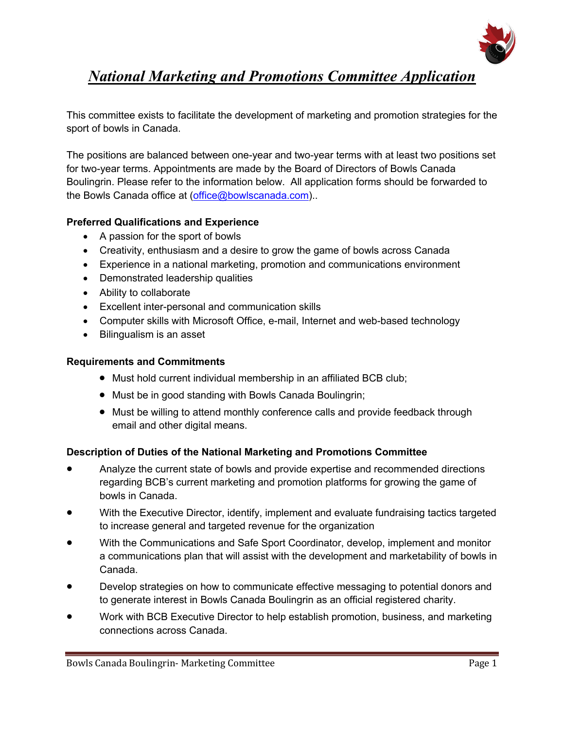

# *National Marketing and Promotions Committee Application*

This committee exists to facilitate the development of marketing and promotion strategies for the sport of bowls in Canada.

The positions are balanced between one-year and two-year terms with at least two positions set for two-year terms. Appointments are made by the Board of Directors of Bowls Canada Boulingrin. Please refer to the information below. All application forms should be forwarded to the Bowls Canada office at (office@bowlscanada.com)..

### **Preferred Qualifications and Experience**

- A passion for the sport of bowls
- Creativity, enthusiasm and a desire to grow the game of bowls across Canada
- Experience in a national marketing, promotion and communications environment
- Demonstrated leadership qualities
- Ability to collaborate
- Excellent inter-personal and communication skills
- Computer skills with Microsoft Office, e-mail, Internet and web-based technology
- Bilingualism is an asset

#### **Requirements and Commitments**

- Must hold current individual membership in an affiliated BCB club;
- Must be in good standing with Bowls Canada Boulingrin;
- Must be willing to attend monthly conference calls and provide feedback through email and other digital means.

#### **Description of Duties of the National Marketing and Promotions Committee**

- Analyze the current state of bowls and provide expertise and recommended directions regarding BCB's current marketing and promotion platforms for growing the game of bowls in Canada.
- With the Executive Director, identify, implement and evaluate fundraising tactics targeted to increase general and targeted revenue for the organization
- With the Communications and Safe Sport Coordinator, develop, implement and monitor a communications plan that will assist with the development and marketability of bowls in Canada.
- Develop strategies on how to communicate effective messaging to potential donors and to generate interest in Bowls Canada Boulingrin as an official registered charity.
- Work with BCB Executive Director to help establish promotion, business, and marketing connections across Canada.